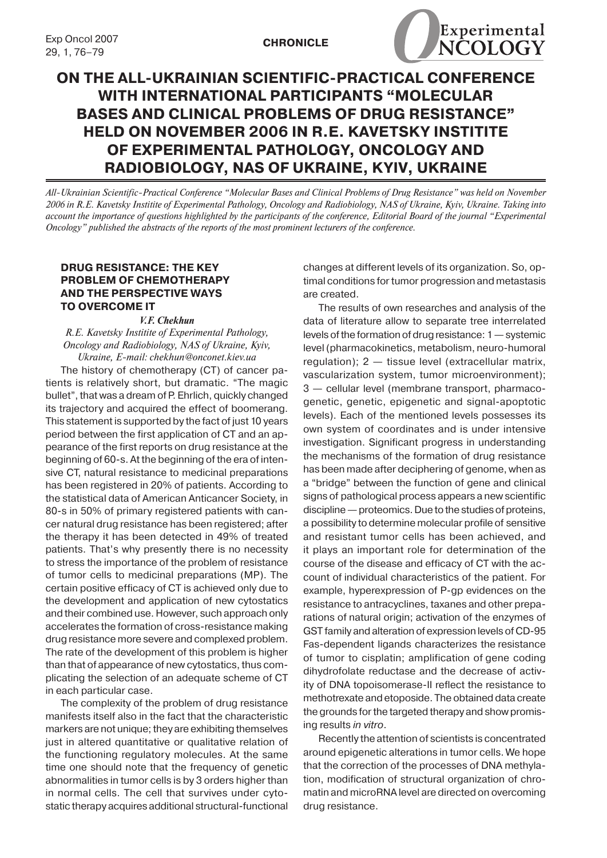

# **ON THE ALL-UKRAINIAN SCIENTIFIC-PRACTICAL CONFERENCE WITH INTERNATIONAL PARTICIPANTS "MOLECULAR BASES AND CLINICAL PROBLEMS OF DRUG RESISTANCE" held on November 2006 in R.E. Kavetsky Institite of Experimental Pathology, Oncology and Radiobiology, NAS of Ukraine, Kyiv, Ukraine**

*All-Ukrainian Scientific-Practical Conference "Molecular Bases and Clinical Problems of Drug Resistance" was held on November 2006 in R.E. Kavetsky Institite of Experimental Pathology, Oncology and Radiobiology, NAS of Ukraine, Kyiv, Ukraine. Taking into account the importance of questions highlighted by the participants of the conference, Editorial Board of the journal "Experimental Oncology" published the abstracts of the reports of the most prominent lecturers of the conference.*

# **DRUG RESISTANCE: THE KEY PROBLEM OF CHEMOTHERAPY AND THE PERSPECTIVE WAYS TO OVERCOME IT**

#### *V.F. Chekhun*

*R.E. Kavetsky Institite of Experimental Pathology, Oncology and Radiobiology, NAS of Ukraine, Kyiv, Ukraine, E-mail: chekhun@onconet.kiev.ua*

The history of chemotherapy (CT) of cancer patients is relatively short, but dramatic. "The magic bullet", that was a dream of P. Ehrlich, quickly changed its trajectory and acquired the effect of boomerang. This statement is supported by the fact of just 10 years period between the first application of CT and an appearance of the first reports on drug resistance at the beginning of 60-s. At the beginning of the era of intensive CT, natural resistance to medicinal preparations has been registered in 20% of patients. According to the statistical data of American Anticancer Society, in 80-s in 50% of primary registered patients with cancer natural drug resistance has been registered; after the therapy it has been detected in 49% of treated patients. That's why presently there is no necessity to stress the importance of the problem of resistance of tumor cells to medicinal preparations (MP). The certain positive efficacy of CT is achieved only due to the development and application of new cytostatics and their combined use. However, such approach only accelerates the formation of cross-resistance making drug resistance more severe and complexed problem. The rate of the development of this problem is higher than that of appearance of new cytostatics, thus complicating the selection of an adequate scheme of CT in each particular case.

The complexity of the problem of drug resistance manifests itself also in the fact that the characteristic markers are not unique; they are exhibiting themselves just in altered quantitative or qualitative relation of the functioning regulatory molecules. At the same time one should note that the frequency of genetic abnormalities in tumor cells is by 3 orders higher than in normal cells. The cell that survives under cytostatic therapy acquires additional structural-functional changes at different levels of its organization. So, optimal conditions for tumor progression and metastasis are created.

The results of own researches and analysis of the data of literature allow to separate tree interrelated levels of the formation of drug resistance:  $1$  — systemic level(pharmacokinetics, metabolism, neuro-humoral regulation); 2 — tissue level (extracellular matrix, vascularization system, tumor microenvironment); 3 — cellular level (membrane transport, pharmacogenetic, genetic, epigenetic and signal-apoptotic levels). Each of the mentioned levels possesses its own system of coordinates and is under intensive investigation. Significant progress in understanding the mechanisms of the formation of drug resistance has been made after deciphering of genome, when as a "bridge" between the function of gene and clinical signs of pathological process appears a new scientific discipline — proteomics. Due to the studies of proteins, a possibility to determine molecular profile of sensitive and resistant tumor cells has been achieved, and it plays an important role for determination of the course of the disease and efficacy of CT with the account of individual characteristics of the patient. For example, hyperexpression of Р-gp evidences on the resistance to antracyclines, taxanes and other preparations of natural origin; activation of the enzymes of GST family and alteration of expression levels of CD-95 Fas-dependent ligands characterizes the resistance of tumor to cisplatin; amplification of gene coding dihydrofolate reductase and the decrease of activity of DNA topoisomerase-ІІ reflect the resistance to methotrexate and etoposide. The obtained data create the grounds for the targeted therapy and show promising results *in vitro*.

Recently the attention of scientists is concentrated around epigenetic alterations in tumor cells. We hope that the correction of the processes of DNA methylation, modification of structural organization of chromatin and microRNA level are directed on overcoming drug resistance.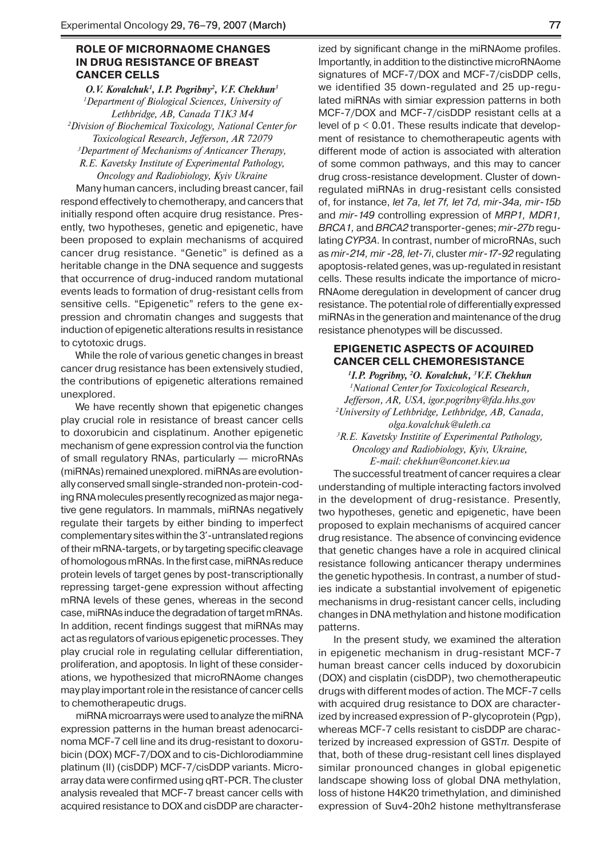### **ROLE OF MICRORNAOME CHANGES IN DRUG RESISTANCE OF BREAST CANCER CELLS**

*O.V. Kovalchuk1 , I.P. Pogribny2 , V.F. Chekhun3 1 Department of Biological Sciences, University of Lethbridge, AB, Canada T1K3 M4 2 Division of Biochemical Toxicology, National Center for Toxicological Research, Jefferson, AR 72079 3 Department of Mechanisms of Anticancer Therapy, R.E. Kavetsky Institute of Experimental Pathology, Oncology and Radiobiology, Kyiv Ukraine*

Many human cancers, including breast cancer, fail respond effectively to chemotherapy, and cancers that initially respond often acquire drug resistance. Presently, two hypotheses, genetic and epigenetic, have been proposed to explain mechanisms of acquired cancer drug resistance. "Genetic" is defined as a heritable change in the DNA sequence and suggests that occurrence of drug-induced random mutational events leads to formation of drug-resistant cells from sensitive cells. "Epigenetic" refers to the gene expression and chromatin changes and suggests that induction of epigenetic alterations results in resistance to cytotoxic drugs.

While the role of various genetic changes in breast cancer drug resistance has been extensively studied, the contributions of epigenetic alterations remained unexplored.

We have recently shown that epigenetic changes play crucial role in resistance of breast cancer cells to doxorubicin and cisplatinum. Another epigenetic mechanism of gene expression control via the function of small regulatory RNAs, particularly — microRNAs (miRNAs) remained unexplored. miRNAs are evolutionally conserved small single-stranded non-protein-coding RNA molecules presently recognized as major negative gene regulators. In mammals, miRNAs negatively regulate their targets by either binding to imperfect complementary sites within the 3'-untranslated regions of their mRNA-targets, or by targeting specific cleavage of homologous mRNAs. In the first case, miRNAs reduce protein levels of target genes by post-transcriptionally repressing target-gene expression without affecting mRNA levels of these genes, whereas in the second case, miRNAs induce the degradation of target mRNAs. In addition, recent findings suggest that miRNAs may act as regulators of various epigenetic processes. They play crucial role in regulating cellular differentiation, proliferation, and apoptosis. In light of these considerations, we hypothesized that microRNAome changes may play important role in the resistance of cancer cells to chemotherapeutic drugs.

miRNA microarrays were used to analyze the miRNA expression patterns in the human breast adenocarcinoma MCF-7 cell line and its drug-resistant to doxorubicin (DOX) MCF-7/DOX and to cis-Dichlorodiammine platinum (II) (cisDDP) MCF-7/cisDDP variants. Microarray data were confirmed using qRT-PCR. The cluster analysis revealed that MCF-7 breast cancer cells with acquired resistance to DOX and cisDDP are characterized by significant change in the miRNAome profiles. Importantly, in addition to the distinctive microRNAome signatures of MCF-7/DOX and MCF-7/cisDDP cells, we identified 35 down-regulated and 25 up-regulated miRNAs with simiar expression patterns in both MCF-7/DOX and MCF-7/cisDDP resistant cells at a level of  $p < 0.01$ . These results indicate that development of resistance to chemotherapeutic agents with different mode of action is associated with alteration of some common pathways, and this may to cancer drug cross-resistance development. Cluster of downregulated miRNAs in drug-resistant cells consisted of, for instance, *let 7a, let 7f, let 7d, mir-34a, mir-15b* and *mir-149* controlling expression of *MRP1, MDR1, BRCA1,* and*BRCA2* transporter-genes; *mir-27b* regulating *CYP3A*. In contrast, number of microRNAs, such as *mir-214, mir -28, let-7i*, cluster *mir-17-92* regulating apoptosis-related genes, was up-regulated in resistant cells. These results indicate the importance of micro-RNAome deregulation in development of cancer drug resistance. The potential role of differentially expressed miRNAs in the generation and maintenance of the drug resistance phenotypes will be discussed.

# **EPIGENETIC ASPECTS OF ACQUIRED CANCER CELL CHEMORESISTANCE**

*1 I.P. Pogribny, 2 O. Kovalchuk, 3 V.F. Chekhun 1 National Center for Toxicological Research, Jefferson, AR, USA, igor.pogribny@fda.hhs.gov 2 University of Lethbridge, Lethbridge, AB, Canada, olga.kovalchuk@uleth.ca*

*3 R.E. Kavetsky Institite of Experimental Pathology, Oncology and Radiobiology, Kyiv, Ukraine, E-mail: chekhun@onconet.kiev.ua*

The successful treatment of cancer requires a clear understanding of multiple interacting factors involved in the development of drug-resistance. Presently, two hypotheses, genetic and epigenetic, have been proposed to explain mechanisms of acquired cancer drug resistance. The absence of convincing evidence that genetic changes have a role in acquired clinical resistance following anticancer therapy undermines the genetic hypothesis. In contrast, a number of studies indicate a substantial involvement of epigenetic mechanisms in drug-resistant cancer cells, including changes in DNA methylation and histone modification patterns.

In the present study, we examined the alteration in epigenetic mechanism in drug-resistant MCF-7 human breast cancer cells induced by doxorubicin (DOX) and cisplatin (cisDDP), two chemotherapeutic drugs with different modes of action. The MCF-7 cells with acquired drug resistance to DOX are characterized by increased expression of P-glycoprotein (Pgp), whereas MCF-7 cells resistant to cisDDP are characterized by increased expression of GST*π.* Despite of that, both of these drug-resistant cell lines displayed similar pronounced changes in global epigenetic landscape showing loss of global DNA methylation, loss of histone H4K20 trimethylation, and diminished expression of Suv4-20h2 histone methyltransferase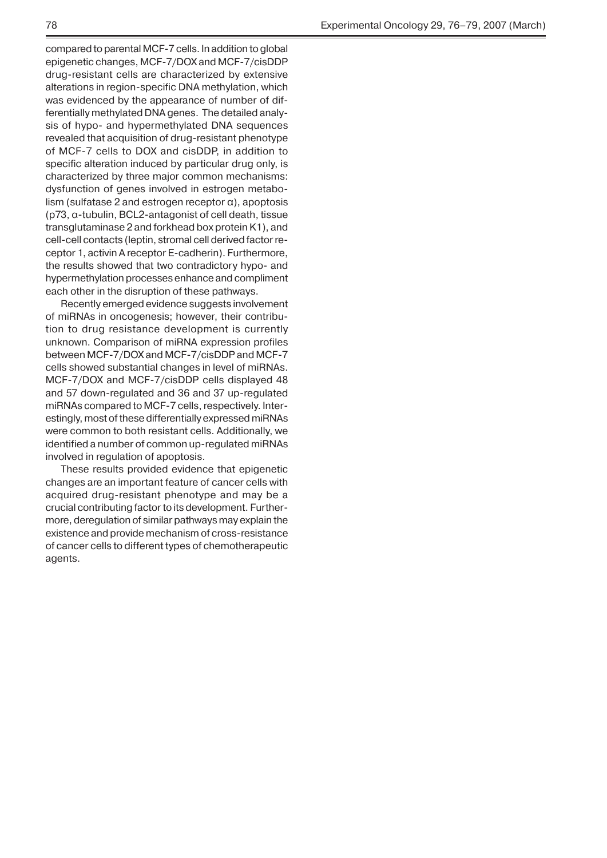compared to parental MCF-7 cells.In addition to global epigenetic changes, MCF-7/DOX and MCF-7/cisDDP drug-resistant cells are characterized by extensive alterations in region-specific DNA methylation, which was evidenced by the appearance of number of differentially methylated DNA genes.The detailed analysis of hypo- and hypermethylated DNA sequences revealed that acquisition of drug-resistant phenotype of MCF-7 cells to DOX and cisDDP, in addition to specific alteration induced by particular drug only, is characterized by three major common mechanisms: dysfunction of genes involved in estrogen metabolism (sulfatase 2 and estrogen receptor α), apoptosis (p73, α-tubulin, BCL2-antagonist of cell death, tissue transglutaminase 2 and forkhead box protein K1), and cell-cell contacts (leptin, stromal cell derived factor receptor 1, activin A receptor E-cadherin). Furthermore, the results showed that two contradictory hypo- and hypermethylation processes enhance and compliment each other in the disruption of these pathways.

Recently emerged evidence suggests involvement of miRNAs in oncogenesis; however, their contribution to drug resistance development is currently unknown. Comparison of miRNA expression profiles between MCF-7/DOX and MCF-7/cisDDP and MCF-7 cells showed substantial changes in level of miRNAs. MCF-7/DOX and MCF-7/cisDDP cells displayed 48 and 57 down-regulated and 36 and 37 up-regulated miRNAs compared to MCF-7 cells, respectively. Interestingly, most of these differentially expressed miRNAs were common to both resistant cells. Additionally, we identified a number of common up-regulated miRNAs involved in regulation of apoptosis.

These results provided evidence that epigenetic changes are an important feature of cancer cells with acquired drug-resistant phenotype and may be a crucial contributing factor to its development. Furthermore, deregulation of similar pathways may explain the existence and provide mechanism of cross-resistance of cancer cells to different types of chemotherapeutic agents.